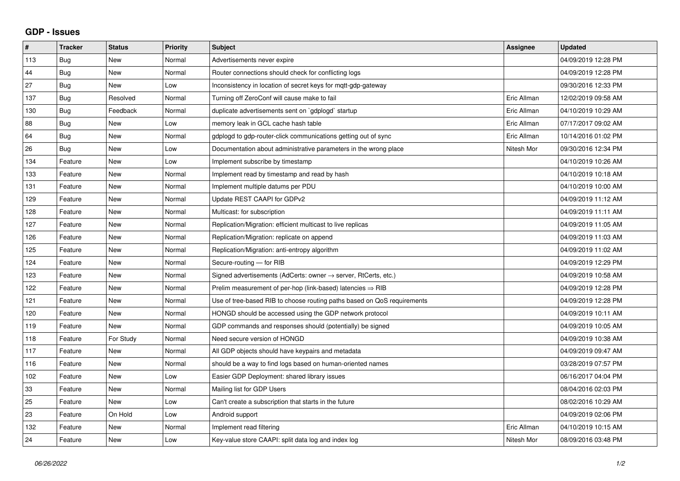## **GDP - Issues**

| $\pmb{\#}$ | <b>Tracker</b> | <b>Status</b> | <b>Priority</b> | <b>Subject</b>                                                          | Assignee    | <b>Updated</b>      |
|------------|----------------|---------------|-----------------|-------------------------------------------------------------------------|-------------|---------------------|
| 113        | Bug            | New           | Normal          | Advertisements never expire                                             |             | 04/09/2019 12:28 PM |
| 44         | Bug            | <b>New</b>    | Normal          | Router connections should check for conflicting logs                    |             | 04/09/2019 12:28 PM |
| 27         | Bug            | New           | Low             | Inconsistency in location of secret keys for mqtt-gdp-gateway           |             | 09/30/2016 12:33 PM |
| 137        | Bug            | Resolved      | Normal          | Turning off ZeroConf will cause make to fail                            | Eric Allman | 12/02/2019 09:58 AM |
| 130        | Bug            | Feedback      | Normal          | duplicate advertisements sent on `gdplogd` startup                      | Eric Allman | 04/10/2019 10:29 AM |
| 88         | Bug            | <b>New</b>    | Low             | memory leak in GCL cache hash table                                     | Eric Allman | 07/17/2017 09:02 AM |
| 64         | Bug            | <b>New</b>    | Normal          | gdplogd to gdp-router-click communications getting out of sync          | Eric Allman | 10/14/2016 01:02 PM |
| 26         | Bug            | <b>New</b>    | Low             | Documentation about administrative parameters in the wrong place        | Nitesh Mor  | 09/30/2016 12:34 PM |
| 134        | Feature        | <b>New</b>    | Low             | Implement subscribe by timestamp                                        |             | 04/10/2019 10:26 AM |
| 133        | Feature        | <b>New</b>    | Normal          | Implement read by timestamp and read by hash                            |             | 04/10/2019 10:18 AM |
| 131        | Feature        | <b>New</b>    | Normal          | Implement multiple datums per PDU                                       |             | 04/10/2019 10:00 AM |
| 129        | Feature        | <b>New</b>    | Normal          | Update REST CAAPI for GDPv2                                             |             | 04/09/2019 11:12 AM |
| 128        | Feature        | <b>New</b>    | Normal          | Multicast: for subscription                                             |             | 04/09/2019 11:11 AM |
| 127        | Feature        | <b>New</b>    | Normal          | Replication/Migration: efficient multicast to live replicas             |             | 04/09/2019 11:05 AM |
| 126        | Feature        | <b>New</b>    | Normal          | Replication/Migration: replicate on append                              |             | 04/09/2019 11:03 AM |
| 125        | Feature        | <b>New</b>    | Normal          | Replication/Migration: anti-entropy algorithm                           |             | 04/09/2019 11:02 AM |
| 124        | Feature        | <b>New</b>    | Normal          | Secure-routing - for RIB                                                |             | 04/09/2019 12:29 PM |
| 123        | Feature        | <b>New</b>    | Normal          | Signed advertisements (AdCerts: owner → server, RtCerts, etc.)          |             | 04/09/2019 10:58 AM |
| 122        | Feature        | <b>New</b>    | Normal          | Prelim measurement of per-hop (link-based) latencies $\Rightarrow$ RIB  |             | 04/09/2019 12:28 PM |
| 121        | Feature        | <b>New</b>    | Normal          | Use of tree-based RIB to choose routing paths based on QoS requirements |             | 04/09/2019 12:28 PM |
| 120        | Feature        | New           | Normal          | HONGD should be accessed using the GDP network protocol                 |             | 04/09/2019 10:11 AM |
| 119        | Feature        | <b>New</b>    | Normal          | GDP commands and responses should (potentially) be signed               |             | 04/09/2019 10:05 AM |
| 118        | Feature        | For Study     | Normal          | Need secure version of HONGD                                            |             | 04/09/2019 10:38 AM |
| 117        | Feature        | New           | Normal          | All GDP objects should have keypairs and metadata                       |             | 04/09/2019 09:47 AM |
| 116        | Feature        | <b>New</b>    | Normal          | should be a way to find logs based on human-oriented names              |             | 03/28/2019 07:57 PM |
| 102        | Feature        | New           | Low             | Easier GDP Deployment: shared library issues                            |             | 06/16/2017 04:04 PM |
| 33         | Feature        | <b>New</b>    | Normal          | Mailing list for GDP Users                                              |             | 08/04/2016 02:03 PM |
| 25         | Feature        | New           | Low             | Can't create a subscription that starts in the future                   |             | 08/02/2016 10:29 AM |
| 23         | Feature        | On Hold       | Low             | Android support                                                         |             | 04/09/2019 02:06 PM |
| 132        | Feature        | <b>New</b>    | Normal          | Implement read filtering                                                | Eric Allman | 04/10/2019 10:15 AM |
| 24         | Feature        | New           | Low             | Key-value store CAAPI: split data log and index log                     | Nitesh Mor  | 08/09/2016 03:48 PM |